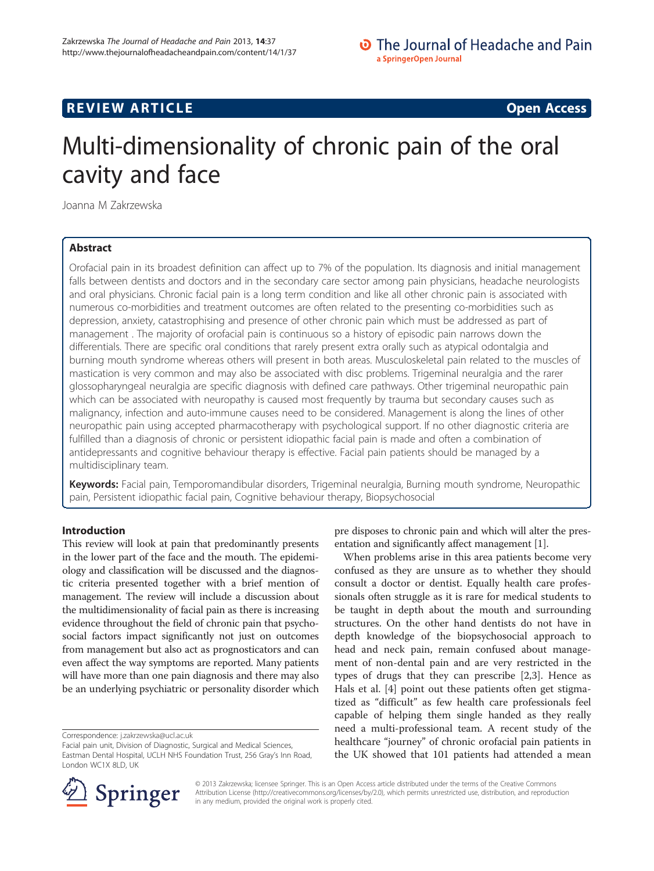## **REVIEW ARTICLE External intervention of the Contract Contract Contract Contract Contract Contract Contract Contract Contract Contract Contract Contract Contract Contract Contract Contract Contract Contract Contract Cont**

# Multi-dimensionality of chronic pain of the oral cavity and face

Joanna M Zakrzewska

## Abstract

Orofacial pain in its broadest definition can affect up to 7% of the population. Its diagnosis and initial management falls between dentists and doctors and in the secondary care sector among pain physicians, headache neurologists and oral physicians. Chronic facial pain is a long term condition and like all other chronic pain is associated with numerous co-morbidities and treatment outcomes are often related to the presenting co-morbidities such as depression, anxiety, catastrophising and presence of other chronic pain which must be addressed as part of management . The majority of orofacial pain is continuous so a history of episodic pain narrows down the differentials. There are specific oral conditions that rarely present extra orally such as atypical odontalgia and burning mouth syndrome whereas others will present in both areas. Musculoskeletal pain related to the muscles of mastication is very common and may also be associated with disc problems. Trigeminal neuralgia and the rarer glossopharyngeal neuralgia are specific diagnosis with defined care pathways. Other trigeminal neuropathic pain which can be associated with neuropathy is caused most frequently by trauma but secondary causes such as malignancy, infection and auto-immune causes need to be considered. Management is along the lines of other neuropathic pain using accepted pharmacotherapy with psychological support. If no other diagnostic criteria are fulfilled than a diagnosis of chronic or persistent idiopathic facial pain is made and often a combination of antidepressants and cognitive behaviour therapy is effective. Facial pain patients should be managed by a multidisciplinary team.

Keywords: Facial pain, Temporomandibular disorders, Trigeminal neuralgia, Burning mouth syndrome, Neuropathic pain, Persistent idiopathic facial pain, Cognitive behaviour therapy, Biopsychosocial

## Introduction

This review will look at pain that predominantly presents in the lower part of the face and the mouth. The epidemiology and classification will be discussed and the diagnostic criteria presented together with a brief mention of management. The review will include a discussion about the multidimensionality of facial pain as there is increasing evidence throughout the field of chronic pain that psychosocial factors impact significantly not just on outcomes from management but also act as prognosticators and can even affect the way symptoms are reported. Many patients will have more than one pain diagnosis and there may also be an underlying psychiatric or personality disorder which

Correspondence: [j.zakrzewska@ucl.ac.uk](mailto:j.zakrzewska@ucl.ac.uk)

pre disposes to chronic pain and which will alter the presentation and significantly affect management [[1\]](#page-7-0).

When problems arise in this area patients become very confused as they are unsure as to whether they should consult a doctor or dentist. Equally health care professionals often struggle as it is rare for medical students to be taught in depth about the mouth and surrounding structures. On the other hand dentists do not have in depth knowledge of the biopsychosocial approach to head and neck pain, remain confused about management of non-dental pain and are very restricted in the types of drugs that they can prescribe [\[2,3](#page-8-0)]. Hence as Hals et al. [[4](#page-8-0)] point out these patients often get stigmatized as "difficult" as few health care professionals feel capable of helping them single handed as they really need a multi-professional team. A recent study of the healthcare "journey" of chronic orofacial pain patients in the UK showed that 101 patients had attended a mean



© 2013 Zakrzewska; licensee Springer. This is an Open Access article distributed under the terms of the Creative Commons Attribution License [\(http://creativecommons.org/licenses/by/2.0\)](http://creativecommons.org/licenses/by/2.0), which permits unrestricted use, distribution, and reproduction in any medium, provided the original work is properly cited.

Facial pain unit, Division of Diagnostic, Surgical and Medical Sciences, Eastman Dental Hospital, UCLH NHS Foundation Trust, 256 Gray's Inn Road, London WC1X 8LD, UK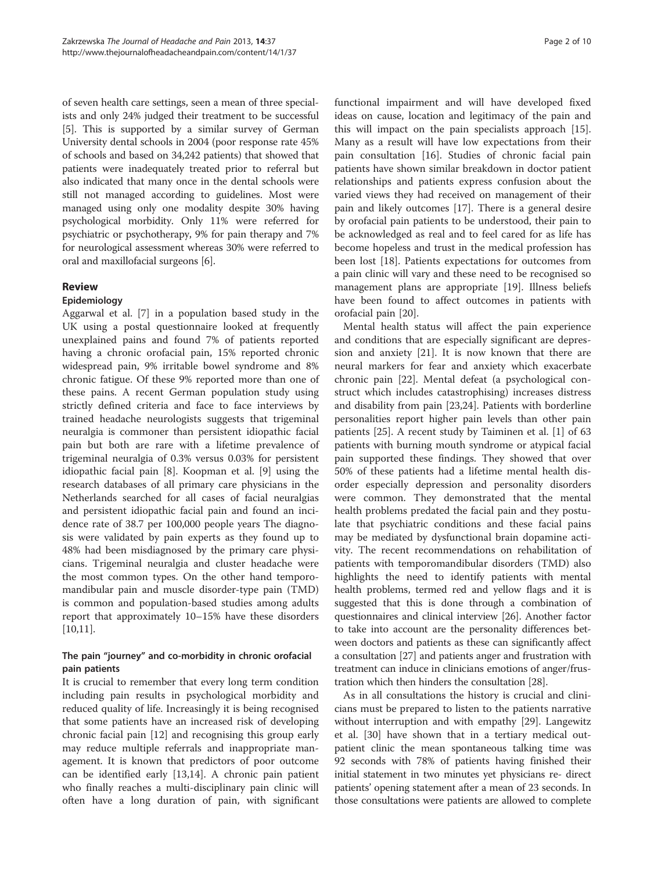of seven health care settings, seen a mean of three specialists and only 24% judged their treatment to be successful [[5\]](#page-8-0). This is supported by a similar survey of German University dental schools in 2004 (poor response rate 45% of schools and based on 34,242 patients) that showed that patients were inadequately treated prior to referral but also indicated that many once in the dental schools were still not managed according to guidelines. Most were managed using only one modality despite 30% having psychological morbidity. Only 11% were referred for psychiatric or psychotherapy, 9% for pain therapy and 7% for neurological assessment whereas 30% were referred to oral and maxillofacial surgeons [\[6](#page-8-0)].

## Review

## Epidemiology

Aggarwal et al. [\[7](#page-8-0)] in a population based study in the UK using a postal questionnaire looked at frequently unexplained pains and found 7% of patients reported having a chronic orofacial pain, 15% reported chronic widespread pain, 9% irritable bowel syndrome and 8% chronic fatigue. Of these 9% reported more than one of these pains. A recent German population study using strictly defined criteria and face to face interviews by trained headache neurologists suggests that trigeminal neuralgia is commoner than persistent idiopathic facial pain but both are rare with a lifetime prevalence of trigeminal neuralgia of 0.3% versus 0.03% for persistent idiopathic facial pain [[8\]](#page-8-0). Koopman et al. [\[9](#page-8-0)] using the research databases of all primary care physicians in the Netherlands searched for all cases of facial neuralgias and persistent idiopathic facial pain and found an incidence rate of 38.7 per 100,000 people years The diagnosis were validated by pain experts as they found up to 48% had been misdiagnosed by the primary care physicians. Trigeminal neuralgia and cluster headache were the most common types. On the other hand temporomandibular pain and muscle disorder-type pain (TMD) is common and population-based studies among adults report that approximately 10–15% have these disorders [[10,11\]](#page-8-0).

## The pain "journey" and co-morbidity in chronic orofacial pain patients

It is crucial to remember that every long term condition including pain results in psychological morbidity and reduced quality of life. Increasingly it is being recognised that some patients have an increased risk of developing chronic facial pain [[12\]](#page-8-0) and recognising this group early may reduce multiple referrals and inappropriate management. It is known that predictors of poor outcome can be identified early [[13](#page-8-0),[14](#page-8-0)]. A chronic pain patient who finally reaches a multi-disciplinary pain clinic will often have a long duration of pain, with significant

functional impairment and will have developed fixed ideas on cause, location and legitimacy of the pain and this will impact on the pain specialists approach [\[15](#page-8-0)]. Many as a result will have low expectations from their pain consultation [\[16](#page-8-0)]. Studies of chronic facial pain patients have shown similar breakdown in doctor patient relationships and patients express confusion about the varied views they had received on management of their pain and likely outcomes [\[17](#page-8-0)]. There is a general desire by orofacial pain patients to be understood, their pain to be acknowledged as real and to feel cared for as life has become hopeless and trust in the medical profession has been lost [[18](#page-8-0)]. Patients expectations for outcomes from a pain clinic will vary and these need to be recognised so management plans are appropriate [[19\]](#page-8-0). Illness beliefs have been found to affect outcomes in patients with orofacial pain [\[20](#page-8-0)].

Mental health status will affect the pain experience and conditions that are especially significant are depression and anxiety [\[21\]](#page-8-0). It is now known that there are neural markers for fear and anxiety which exacerbate chronic pain [[22\]](#page-8-0). Mental defeat (a psychological construct which includes catastrophising) increases distress and disability from pain [\[23,24](#page-8-0)]. Patients with borderline personalities report higher pain levels than other pain patients [\[25](#page-8-0)]. A recent study by Taiminen et al. [\[1](#page-7-0)] of 63 patients with burning mouth syndrome or atypical facial pain supported these findings. They showed that over 50% of these patients had a lifetime mental health disorder especially depression and personality disorders were common. They demonstrated that the mental health problems predated the facial pain and they postulate that psychiatric conditions and these facial pains may be mediated by dysfunctional brain dopamine activity. The recent recommendations on rehabilitation of patients with temporomandibular disorders (TMD) also highlights the need to identify patients with mental health problems, termed red and yellow flags and it is suggested that this is done through a combination of questionnaires and clinical interview [\[26\]](#page-8-0). Another factor to take into account are the personality differences between doctors and patients as these can significantly affect a consultation [[27](#page-8-0)] and patients anger and frustration with treatment can induce in clinicians emotions of anger/frustration which then hinders the consultation [\[28\]](#page-8-0).

As in all consultations the history is crucial and clinicians must be prepared to listen to the patients narrative without interruption and with empathy [[29\]](#page-8-0). Langewitz et al. [\[30](#page-8-0)] have shown that in a tertiary medical outpatient clinic the mean spontaneous talking time was 92 seconds with 78% of patients having finished their initial statement in two minutes yet physicians re- direct patients' opening statement after a mean of 23 seconds. In those consultations were patients are allowed to complete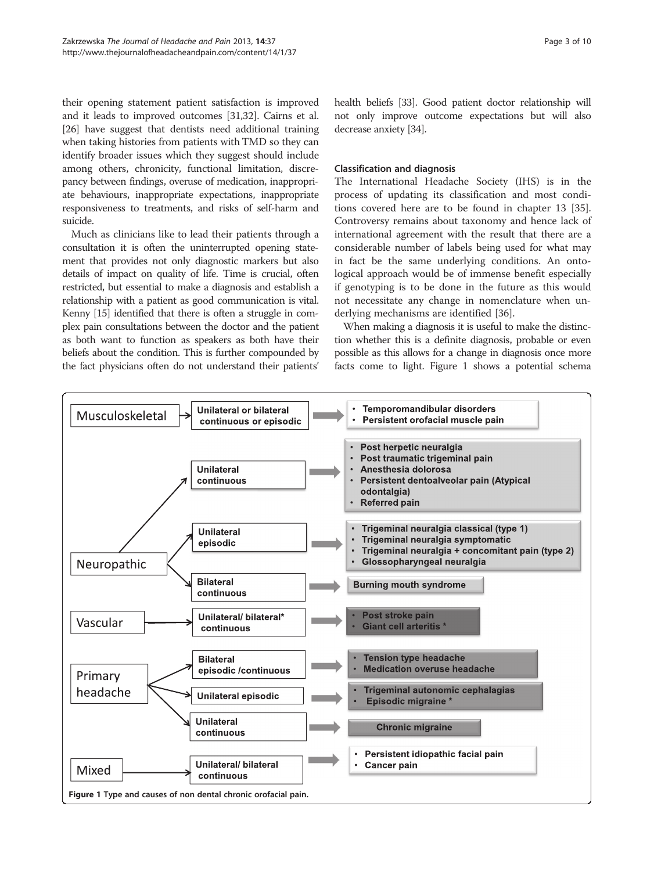their opening statement patient satisfaction is improved and it leads to improved outcomes [[31,32\]](#page-8-0). Cairns et al. [[26](#page-8-0)] have suggest that dentists need additional training when taking histories from patients with TMD so they can identify broader issues which they suggest should include among others, chronicity, functional limitation, discrepancy between findings, overuse of medication, inappropriate behaviours, inappropriate expectations, inappropriate responsiveness to treatments, and risks of self-harm and suicide.

Much as clinicians like to lead their patients through a consultation it is often the uninterrupted opening statement that provides not only diagnostic markers but also details of impact on quality of life. Time is crucial, often restricted, but essential to make a diagnosis and establish a relationship with a patient as good communication is vital. Kenny [\[15\]](#page-8-0) identified that there is often a struggle in complex pain consultations between the doctor and the patient as both want to function as speakers as both have their beliefs about the condition. This is further compounded by the fact physicians often do not understand their patients' health beliefs [[33](#page-8-0)]. Good patient doctor relationship will not only improve outcome expectations but will also decrease anxiety [\[34\]](#page-8-0).

## Classification and diagnosis

The International Headache Society (IHS) is in the process of updating its classification and most conditions covered here are to be found in chapter 13 [\[35](#page-8-0)]. Controversy remains about taxonomy and hence lack of international agreement with the result that there are a considerable number of labels being used for what may in fact be the same underlying conditions. An ontological approach would be of immense benefit especially if genotyping is to be done in the future as this would not necessitate any change in nomenclature when underlying mechanisms are identified [[36\]](#page-8-0).

When making a diagnosis it is useful to make the distinction whether this is a definite diagnosis, probable or even possible as this allows for a change in diagnosis once more facts come to light. Figure 1 shows a potential schema

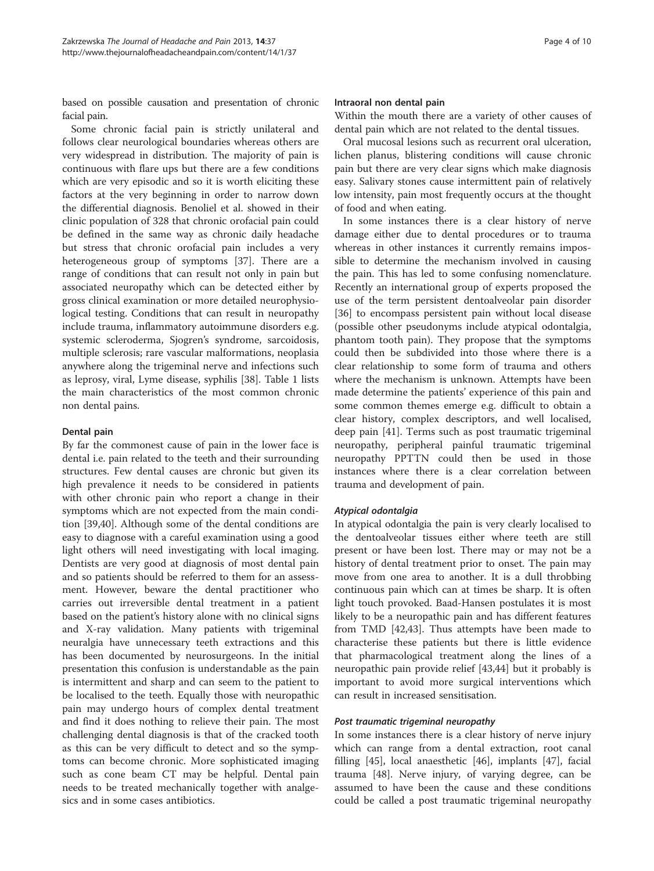based on possible causation and presentation of chronic facial pain.

Some chronic facial pain is strictly unilateral and follows clear neurological boundaries whereas others are very widespread in distribution. The majority of pain is continuous with flare ups but there are a few conditions which are very episodic and so it is worth eliciting these factors at the very beginning in order to narrow down the differential diagnosis. Benoliel et al. showed in their clinic population of 328 that chronic orofacial pain could be defined in the same way as chronic daily headache but stress that chronic orofacial pain includes a very heterogeneous group of symptoms [[37](#page-8-0)]. There are a range of conditions that can result not only in pain but associated neuropathy which can be detected either by gross clinical examination or more detailed neurophysiological testing. Conditions that can result in neuropathy include trauma, inflammatory autoimmune disorders e.g. systemic scleroderma, Sjogren's syndrome, sarcoidosis, multiple sclerosis; rare vascular malformations, neoplasia anywhere along the trigeminal nerve and infections such as leprosy, viral, Lyme disease, syphilis [[38](#page-8-0)]. Table [1](#page-4-0) lists the main characteristics of the most common chronic non dental pains.

## Dental pain

By far the commonest cause of pain in the lower face is dental i.e. pain related to the teeth and their surrounding structures. Few dental causes are chronic but given its high prevalence it needs to be considered in patients with other chronic pain who report a change in their symptoms which are not expected from the main condition [\[39,40](#page-8-0)]. Although some of the dental conditions are easy to diagnose with a careful examination using a good light others will need investigating with local imaging. Dentists are very good at diagnosis of most dental pain and so patients should be referred to them for an assessment. However, beware the dental practitioner who carries out irreversible dental treatment in a patient based on the patient's history alone with no clinical signs and X-ray validation. Many patients with trigeminal neuralgia have unnecessary teeth extractions and this has been documented by neurosurgeons. In the initial presentation this confusion is understandable as the pain is intermittent and sharp and can seem to the patient to be localised to the teeth. Equally those with neuropathic pain may undergo hours of complex dental treatment and find it does nothing to relieve their pain. The most challenging dental diagnosis is that of the cracked tooth as this can be very difficult to detect and so the symptoms can become chronic. More sophisticated imaging such as cone beam CT may be helpful. Dental pain needs to be treated mechanically together with analgesics and in some cases antibiotics.

#### Intraoral non dental pain

Within the mouth there are a variety of other causes of dental pain which are not related to the dental tissues.

Oral mucosal lesions such as recurrent oral ulceration, lichen planus, blistering conditions will cause chronic pain but there are very clear signs which make diagnosis easy. Salivary stones cause intermittent pain of relatively low intensity, pain most frequently occurs at the thought of food and when eating.

In some instances there is a clear history of nerve damage either due to dental procedures or to trauma whereas in other instances it currently remains impossible to determine the mechanism involved in causing the pain. This has led to some confusing nomenclature. Recently an international group of experts proposed the use of the term persistent dentoalveolar pain disorder [[36\]](#page-8-0) to encompass persistent pain without local disease (possible other pseudonyms include atypical odontalgia, phantom tooth pain). They propose that the symptoms could then be subdivided into those where there is a clear relationship to some form of trauma and others where the mechanism is unknown. Attempts have been made determine the patients' experience of this pain and some common themes emerge e.g. difficult to obtain a clear history, complex descriptors, and well localised, deep pain [\[41](#page-8-0)]. Terms such as post traumatic trigeminal neuropathy, peripheral painful traumatic trigeminal neuropathy PPTTN could then be used in those instances where there is a clear correlation between trauma and development of pain.

#### Atypical odontalgia

In atypical odontalgia the pain is very clearly localised to the dentoalveolar tissues either where teeth are still present or have been lost. There may or may not be a history of dental treatment prior to onset. The pain may move from one area to another. It is a dull throbbing continuous pain which can at times be sharp. It is often light touch provoked. Baad-Hansen postulates it is most likely to be a neuropathic pain and has different features from TMD [\[42,43](#page-8-0)]. Thus attempts have been made to characterise these patients but there is little evidence that pharmacological treatment along the lines of a neuropathic pain provide relief [[43,44\]](#page-8-0) but it probably is important to avoid more surgical interventions which can result in increased sensitisation.

#### Post traumatic trigeminal neuropathy

In some instances there is a clear history of nerve injury which can range from a dental extraction, root canal filling [\[45\]](#page-8-0), local anaesthetic [[46\]](#page-8-0), implants [\[47](#page-8-0)], facial trauma [[48\]](#page-8-0). Nerve injury, of varying degree, can be assumed to have been the cause and these conditions could be called a post traumatic trigeminal neuropathy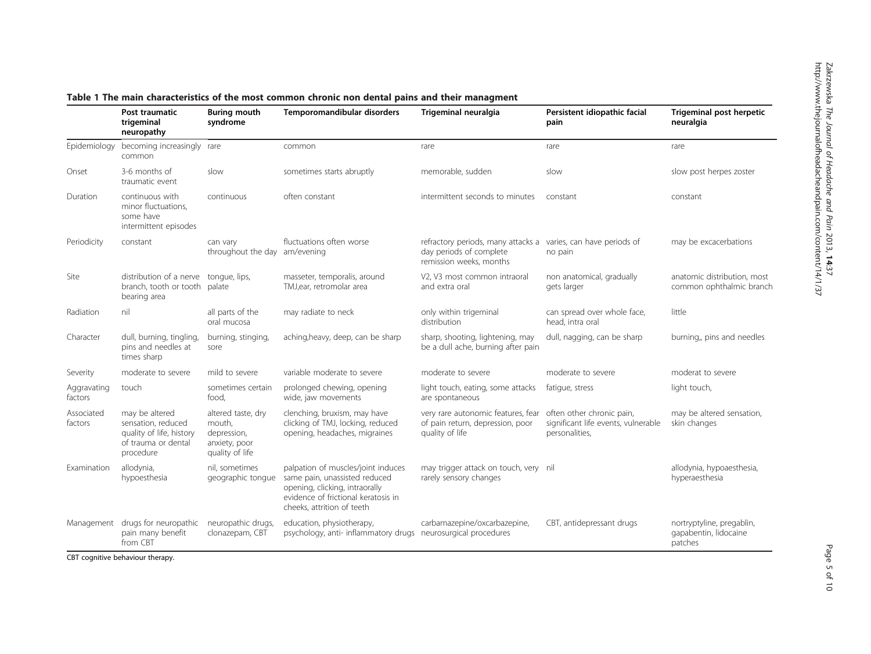|                        | Post traumatic<br>trigeminal<br>neuropathy                                                           | <b>Buring mouth</b><br>syndrome                                                 | Temporomandibular disorders                                                                                                                                                | Trigeminal neuralgia                                                                      | Persistent idiopathic facial<br>pain                                               | Trigeminal post herpetic<br>neuralgia                         |
|------------------------|------------------------------------------------------------------------------------------------------|---------------------------------------------------------------------------------|----------------------------------------------------------------------------------------------------------------------------------------------------------------------------|-------------------------------------------------------------------------------------------|------------------------------------------------------------------------------------|---------------------------------------------------------------|
|                        | Epidemiology becoming increasingly rare<br>common                                                    |                                                                                 | common                                                                                                                                                                     | rare                                                                                      | rare                                                                               | rare                                                          |
| Onset                  | 3-6 months of<br>traumatic event                                                                     | slow                                                                            | sometimes starts abruptly                                                                                                                                                  | memorable, sudden                                                                         | slow                                                                               | slow post herpes zoster                                       |
| Duration               | continuous with<br>minor fluctuations,<br>some have<br>intermittent episodes                         | continuous                                                                      | often constant                                                                                                                                                             | intermittent seconds to minutes                                                           | constant                                                                           | constant                                                      |
| Periodicity            | constant                                                                                             | can vary<br>throughout the day am/evening                                       | fluctuations often worse                                                                                                                                                   | refractory periods, many attacks a<br>day periods of complete<br>remission weeks, months  | varies, can have periods of<br>no pain                                             | may be excacerbations                                         |
| Site                   | distribution of a nerve<br>branch, tooth or tooth<br>bearing area                                    | tongue, lips,<br>palate                                                         | masseter, temporalis, around<br>TMJ,ear, retromolar area                                                                                                                   | V2, V3 most common intraoral<br>and extra oral                                            | non anatomical, gradually<br>gets larger                                           | anatomic distribution, most<br>common ophthalmic branch       |
| Radiation              | nil                                                                                                  | all parts of the<br>oral mucosa                                                 | may radiate to neck                                                                                                                                                        | only within trigeminal<br>distribution                                                    | can spread over whole face,<br>head, intra oral                                    | little                                                        |
| Character              | dull, burning, tingling,<br>pins and needles at<br>times sharp                                       | burning, stinging,<br>sore                                                      | aching, heavy, deep, can be sharp                                                                                                                                          | sharp, shooting, lightening, may<br>be a dull ache, burning after pain                    | dull, nagging, can be sharp                                                        | burning, pins and needles                                     |
| Severity               | moderate to severe                                                                                   | mild to severe                                                                  | variable moderate to severe                                                                                                                                                | moderate to severe                                                                        | moderate to severe                                                                 | moderat to severe                                             |
| Aggravating<br>factors | touch                                                                                                | sometimes certain<br>food.                                                      | prolonged chewing, opening<br>wide, jaw movements                                                                                                                          | light touch, eating, some attacks<br>are spontaneous                                      | fatique, stress                                                                    | light touch,                                                  |
| Associated<br>factors  | may be altered<br>sensation, reduced<br>quality of life, history<br>of trauma or dental<br>procedure | altered taste, dry<br>mouth,<br>depression,<br>anxiety, poor<br>quality of life | clenching, bruxism, may have<br>clicking of TMJ, locking, reduced<br>opening, headaches, migraines                                                                         | very rare autonomic features, fear<br>of pain return, depression, poor<br>quality of life | often other chronic pain,<br>significant life events, vulnerable<br>personalities. | may be altered sensation,<br>skin changes                     |
| Examination            | allodynia,<br>hypoesthesia                                                                           | nil, sometimes<br>geographic tonque                                             | palpation of muscles/joint induces<br>same pain, unassisted reduced<br>opening, clicking, intraorally<br>evidence of frictional keratosis in<br>cheeks, attrition of teeth | may trigger attack on touch, very nil<br>rarely sensory changes                           |                                                                                    | allodynia, hypoaesthesia,<br>hyperaesthesia                   |
| $\cdots$ $\cdots$      | Management drugs for neuropathic<br>pain many benefit<br>from CBT                                    | neuropathic drugs,<br>clonazepam, CBT                                           | education, physiotherapy,<br>psychology, anti- inflammatory drugs neurosurgical procedures                                                                                 | carbamazepine/oxcarbazepine,                                                              | CBT, antidepressant drugs                                                          | nortryptyline, pregablin,<br>gapabentin, lidocaine<br>patches |

## <span id="page-4-0"></span>Table <sup>1</sup> The main characteristics of the most common chronic non dental pains and their managment

CBT cognitive behaviour therapy.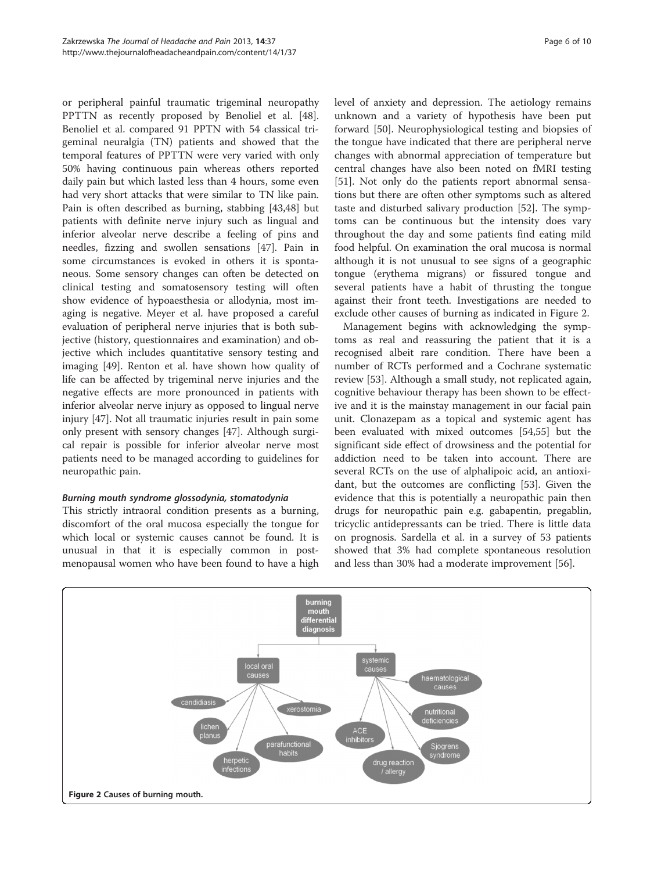or peripheral painful traumatic trigeminal neuropathy PPTTN as recently proposed by Benoliel et al. [\[48](#page-8-0)]. Benoliel et al. compared 91 PPTN with 54 classical trigeminal neuralgia (TN) patients and showed that the temporal features of PPTTN were very varied with only 50% having continuous pain whereas others reported daily pain but which lasted less than 4 hours, some even had very short attacks that were similar to TN like pain. Pain is often described as burning, stabbing [\[43,48\]](#page-8-0) but patients with definite nerve injury such as lingual and inferior alveolar nerve describe a feeling of pins and needles, fizzing and swollen sensations [\[47](#page-8-0)]. Pain in some circumstances is evoked in others it is spontaneous. Some sensory changes can often be detected on clinical testing and somatosensory testing will often show evidence of hypoaesthesia or allodynia, most imaging is negative. Meyer et al. have proposed a careful evaluation of peripheral nerve injuries that is both subjective (history, questionnaires and examination) and objective which includes quantitative sensory testing and imaging [[49\]](#page-8-0). Renton et al. have shown how quality of life can be affected by trigeminal nerve injuries and the negative effects are more pronounced in patients with inferior alveolar nerve injury as opposed to lingual nerve injury [[47](#page-8-0)]. Not all traumatic injuries result in pain some only present with sensory changes [\[47\]](#page-8-0). Although surgical repair is possible for inferior alveolar nerve most patients need to be managed according to guidelines for neuropathic pain.

## Burning mouth syndrome glossodynia, stomatodynia

This strictly intraoral condition presents as a burning, discomfort of the oral mucosa especially the tongue for which local or systemic causes cannot be found. It is unusual in that it is especially common in postmenopausal women who have been found to have a high level of anxiety and depression. The aetiology remains unknown and a variety of hypothesis have been put forward [\[50](#page-8-0)]. Neurophysiological testing and biopsies of the tongue have indicated that there are peripheral nerve changes with abnormal appreciation of temperature but central changes have also been noted on fMRI testing [[51\]](#page-8-0). Not only do the patients report abnormal sensations but there are often other symptoms such as altered taste and disturbed salivary production [[52](#page-8-0)]. The symptoms can be continuous but the intensity does vary throughout the day and some patients find eating mild food helpful. On examination the oral mucosa is normal although it is not unusual to see signs of a geographic tongue (erythema migrans) or fissured tongue and several patients have a habit of thrusting the tongue against their front teeth. Investigations are needed to exclude other causes of burning as indicated in Figure 2.

Management begins with acknowledging the symptoms as real and reassuring the patient that it is a recognised albeit rare condition. There have been a number of RCTs performed and a Cochrane systematic review [\[53](#page-8-0)]. Although a small study, not replicated again, cognitive behaviour therapy has been shown to be effective and it is the mainstay management in our facial pain unit. Clonazepam as a topical and systemic agent has been evaluated with mixed outcomes [[54,55\]](#page-8-0) but the significant side effect of drowsiness and the potential for addiction need to be taken into account. There are several RCTs on the use of alphalipoic acid, an antioxidant, but the outcomes are conflicting [\[53](#page-8-0)]. Given the evidence that this is potentially a neuropathic pain then drugs for neuropathic pain e.g. gabapentin, pregablin, tricyclic antidepressants can be tried. There is little data on prognosis. Sardella et al. in a survey of 53 patients showed that 3% had complete spontaneous resolution and less than 30% had a moderate improvement [[56](#page-9-0)].

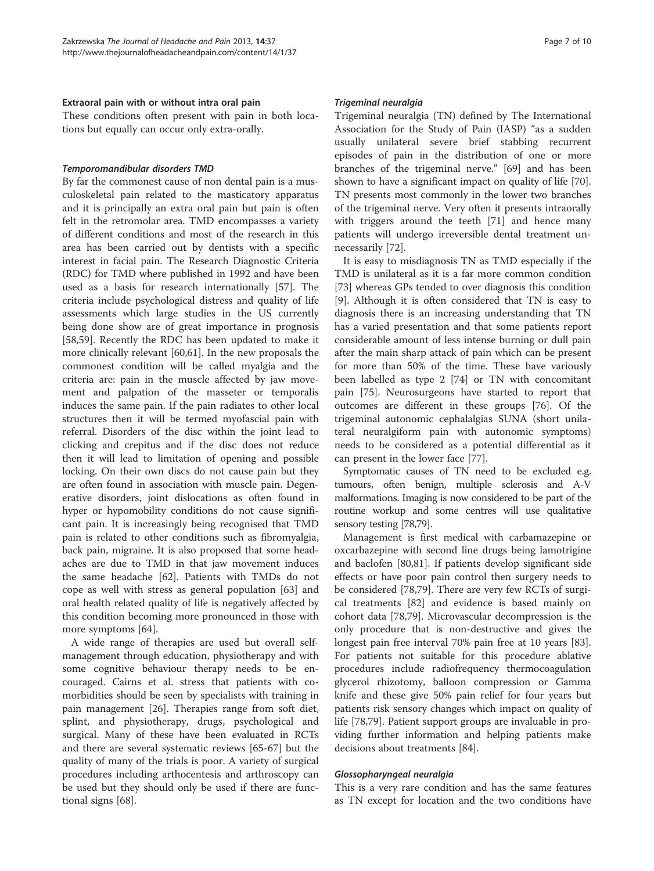#### Extraoral pain with or without intra oral pain

These conditions often present with pain in both locations but equally can occur only extra-orally.

#### Temporomandibular disorders TMD

By far the commonest cause of non dental pain is a musculoskeletal pain related to the masticatory apparatus and it is principally an extra oral pain but pain is often felt in the retromolar area. TMD encompasses a variety of different conditions and most of the research in this area has been carried out by dentists with a specific interest in facial pain. The Research Diagnostic Criteria (RDC) for TMD where published in 1992 and have been used as a basis for research internationally [[57\]](#page-9-0). The criteria include psychological distress and quality of life assessments which large studies in the US currently being done show are of great importance in prognosis [[58,59\]](#page-9-0). Recently the RDC has been updated to make it more clinically relevant [[60](#page-9-0),[61](#page-9-0)]. In the new proposals the commonest condition will be called myalgia and the criteria are: pain in the muscle affected by jaw movement and palpation of the masseter or temporalis induces the same pain. If the pain radiates to other local structures then it will be termed myofascial pain with referral. Disorders of the disc within the joint lead to clicking and crepitus and if the disc does not reduce then it will lead to limitation of opening and possible locking. On their own discs do not cause pain but they are often found in association with muscle pain. Degenerative disorders, joint dislocations as often found in hyper or hypomobility conditions do not cause significant pain. It is increasingly being recognised that TMD pain is related to other conditions such as fibromyalgia, back pain, migraine. It is also proposed that some headaches are due to TMD in that jaw movement induces the same headache [[62\]](#page-9-0). Patients with TMDs do not cope as well with stress as general population [\[63](#page-9-0)] and oral health related quality of life is negatively affected by this condition becoming more pronounced in those with more symptoms [[64\]](#page-9-0).

A wide range of therapies are used but overall selfmanagement through education, physiotherapy and with some cognitive behaviour therapy needs to be encouraged. Cairns et al. stress that patients with comorbidities should be seen by specialists with training in pain management [[26\]](#page-8-0). Therapies range from soft diet, splint, and physiotherapy, drugs, psychological and surgical. Many of these have been evaluated in RCTs and there are several systematic reviews [\[65](#page-9-0)-[67\]](#page-9-0) but the quality of many of the trials is poor. A variety of surgical procedures including arthocentesis and arthroscopy can be used but they should only be used if there are functional signs [\[68\]](#page-9-0).

#### Trigeminal neuralgia

Trigeminal neuralgia (TN) defined by The International Association for the Study of Pain (IASP) "as a sudden usually unilateral severe brief stabbing recurrent episodes of pain in the distribution of one or more branches of the trigeminal nerve." [[69\]](#page-9-0) and has been shown to have a significant impact on quality of life [\[70](#page-9-0)]. TN presents most commonly in the lower two branches of the trigeminal nerve. Very often it presents intraorally with triggers around the teeth [\[71](#page-9-0)] and hence many patients will undergo irreversible dental treatment unnecessarily [[72\]](#page-9-0).

It is easy to misdiagnosis TN as TMD especially if the TMD is unilateral as it is a far more common condition [[73\]](#page-9-0) whereas GPs tended to over diagnosis this condition [[9\]](#page-8-0). Although it is often considered that TN is easy to diagnosis there is an increasing understanding that TN has a varied presentation and that some patients report considerable amount of less intense burning or dull pain after the main sharp attack of pain which can be present for more than 50% of the time. These have variously been labelled as type 2 [[74](#page-9-0)] or TN with concomitant pain [\[75\]](#page-9-0). Neurosurgeons have started to report that outcomes are different in these groups [[76\]](#page-9-0). Of the trigeminal autonomic cephalalgias SUNA (short unilateral neuralgiform pain with autonomic symptoms) needs to be considered as a potential differential as it can present in the lower face [\[77](#page-9-0)].

Symptomatic causes of TN need to be excluded e.g. tumours, often benign, multiple sclerosis and A-V malformations. Imaging is now considered to be part of the routine workup and some centres will use qualitative sensory testing [\[78,79\]](#page-9-0).

Management is first medical with carbamazepine or oxcarbazepine with second line drugs being lamotrigine and baclofen [[80,81\]](#page-9-0). If patients develop significant side effects or have poor pain control then surgery needs to be considered [[78,79\]](#page-9-0). There are very few RCTs of surgical treatments [\[82](#page-9-0)] and evidence is based mainly on cohort data [[78,79\]](#page-9-0). Microvascular decompression is the only procedure that is non-destructive and gives the longest pain free interval 70% pain free at 10 years [\[83](#page-9-0)]. For patients not suitable for this procedure ablative procedures include radiofrequency thermocoagulation glycerol rhizotomy, balloon compression or Gamma knife and these give 50% pain relief for four years but patients risk sensory changes which impact on quality of life [\[78,79\]](#page-9-0). Patient support groups are invaluable in providing further information and helping patients make decisions about treatments [[84\]](#page-9-0).

#### Glossopharyngeal neuralgia

This is a very rare condition and has the same features as TN except for location and the two conditions have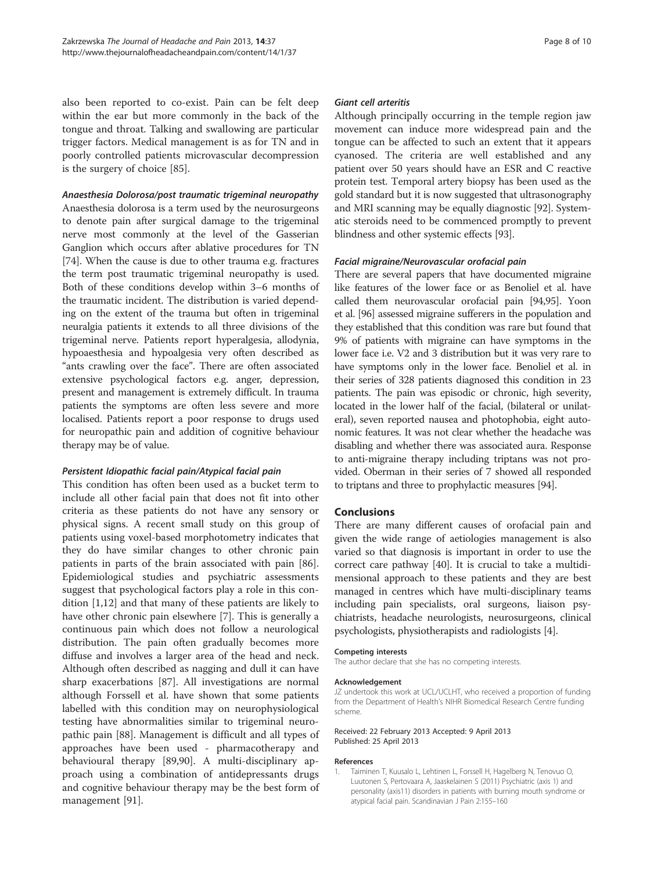<span id="page-7-0"></span>also been reported to co-exist. Pain can be felt deep within the ear but more commonly in the back of the tongue and throat. Talking and swallowing are particular trigger factors. Medical management is as for TN and in poorly controlled patients microvascular decompression is the surgery of choice [[85\]](#page-9-0).

## Anaesthesia Dolorosa/post traumatic trigeminal neuropathy

Anaesthesia dolorosa is a term used by the neurosurgeons to denote pain after surgical damage to the trigeminal nerve most commonly at the level of the Gasserian Ganglion which occurs after ablative procedures for TN [[74](#page-9-0)]. When the cause is due to other trauma e.g. fractures the term post traumatic trigeminal neuropathy is used. Both of these conditions develop within 3–6 months of the traumatic incident. The distribution is varied depending on the extent of the trauma but often in trigeminal neuralgia patients it extends to all three divisions of the trigeminal nerve. Patients report hyperalgesia, allodynia, hypoaesthesia and hypoalgesia very often described as "ants crawling over the face". There are often associated extensive psychological factors e.g. anger, depression, present and management is extremely difficult. In trauma patients the symptoms are often less severe and more localised. Patients report a poor response to drugs used for neuropathic pain and addition of cognitive behaviour therapy may be of value.

#### Persistent Idiopathic facial pain/Atypical facial pain

This condition has often been used as a bucket term to include all other facial pain that does not fit into other criteria as these patients do not have any sensory or physical signs. A recent small study on this group of patients using voxel-based morphotometry indicates that they do have similar changes to other chronic pain patients in parts of the brain associated with pain [\[86](#page-9-0)]. Epidemiological studies and psychiatric assessments suggest that psychological factors play a role in this condition [1,[12\]](#page-8-0) and that many of these patients are likely to have other chronic pain elsewhere [\[7](#page-8-0)]. This is generally a continuous pain which does not follow a neurological distribution. The pain often gradually becomes more diffuse and involves a larger area of the head and neck. Although often described as nagging and dull it can have sharp exacerbations [\[87](#page-9-0)]. All investigations are normal although Forssell et al. have shown that some patients labelled with this condition may on neurophysiological testing have abnormalities similar to trigeminal neuropathic pain [[88\]](#page-9-0). Management is difficult and all types of approaches have been used - pharmacotherapy and behavioural therapy [\[89,90\]](#page-9-0). A multi-disciplinary approach using a combination of antidepressants drugs and cognitive behaviour therapy may be the best form of management [\[91](#page-9-0)].

#### Giant cell arteritis

Although principally occurring in the temple region jaw movement can induce more widespread pain and the tongue can be affected to such an extent that it appears cyanosed. The criteria are well established and any patient over 50 years should have an ESR and C reactive protein test. Temporal artery biopsy has been used as the gold standard but it is now suggested that ultrasonography and MRI scanning may be equally diagnostic [\[92\]](#page-9-0). Systematic steroids need to be commenced promptly to prevent blindness and other systemic effects [[93](#page-9-0)].

#### Facial migraine/Neurovascular orofacial pain

There are several papers that have documented migraine like features of the lower face or as Benoliel et al. have called them neurovascular orofacial pain [\[94,95](#page-9-0)]. Yoon et al. [\[96\]](#page-9-0) assessed migraine sufferers in the population and they established that this condition was rare but found that 9% of patients with migraine can have symptoms in the lower face i.e. V2 and 3 distribution but it was very rare to have symptoms only in the lower face. Benoliel et al. in their series of 328 patients diagnosed this condition in 23 patients. The pain was episodic or chronic, high severity, located in the lower half of the facial, (bilateral or unilateral), seven reported nausea and photophobia, eight autonomic features. It was not clear whether the headache was disabling and whether there was associated aura. Response to anti-migraine therapy including triptans was not provided. Oberman in their series of 7 showed all responded to triptans and three to prophylactic measures [[94](#page-9-0)].

## Conclusions

There are many different causes of orofacial pain and given the wide range of aetiologies management is also varied so that diagnosis is important in order to use the correct care pathway [\[40\]](#page-8-0). It is crucial to take a multidimensional approach to these patients and they are best managed in centres which have multi-disciplinary teams including pain specialists, oral surgeons, liaison psychiatrists, headache neurologists, neurosurgeons, clinical psychologists, physiotherapists and radiologists [\[4](#page-8-0)].

#### Competing interests

The author declare that she has no competing interests.

#### Acknowledgement

JZ undertook this work at UCL/UCLHT, who received a proportion of funding from the Department of Health's NIHR Biomedical Research Centre funding scheme.

#### Received: 22 February 2013 Accepted: 9 April 2013 Published: 25 April 2013

#### References

1. Taiminen T, Kuusalo L, Lehtinen L, Forssell H, Hagelberg N, Tenovuo O, Luutonen S, Pertovaara A, Jaaskelainen S (2011) Psychiatric (axis 1) and personality (axis11) disorders in patients with burning mouth syndrome or atypical facial pain. Scandinavian J Pain 2:155–160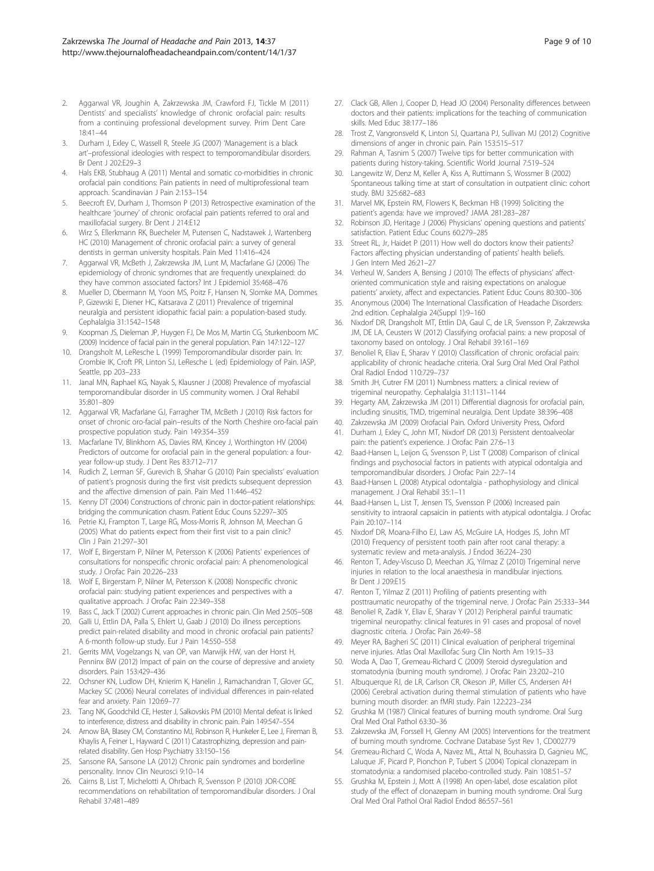- <span id="page-8-0"></span>2. Aggarwal VR, Joughin A, Zakrzewska JM, Crawford FJ, Tickle M (2011) Dentists' and specialists' knowledge of chronic orofacial pain: results from a continuing professional development survey. Prim Dent Care 18:41–44
- 3. Durham J, Exley C, Wassell R, Steele JG (2007) 'Management is a black art'–professional ideologies with respect to temporomandibular disorders. Br Dent J 202:E29–3
- 4. Hals EKB, Stubhaug A (2011) Mental and somatic co-morbidities in chronic orofacial pain conditions: Pain patients in need of multiprofessional team approach. Scandinavian J Pain 2:153–154
- 5. Beecroft EV, Durham J, Thomson P (2013) Retrospective examination of the healthcare 'journey' of chronic orofacial pain patients referred to oral and maxillofacial surgery. Br Dent J 214:E12
- 6. Wirz S, Ellerkmann RK, Buecheler M, Putensen C, Nadstawek J, Wartenberg HC (2010) Management of chronic orofacial pain: a survey of general dentists in german university hospitals. Pain Med 11:416–424
- 7. Aggarwal VR, McBeth J, Zakrzewska JM, Lunt M, Macfarlane GJ (2006) The epidemiology of chronic syndromes that are frequently unexplained: do they have common associated factors? Int J Epidemiol 35:468–476
- 8. Mueller D, Obermann M, Yoon MS, Poitz F, Hansen N, Slomke MA, Dommes P, Gizewski E, Diener HC, Katsarava Z (2011) Prevalence of trigeminal neuralgia and persistent idiopathic facial pain: a population-based study. Cephalalgia 31:1542–1548
- 9. Koopman JS, Dieleman JP, Huygen FJ, De Mos M, Martin CG, Sturkenboom MC (2009) Incidence of facial pain in the general population. Pain 147:122–127
- 10. Drangsholt M, LeResche L (1999) Temporomandibular disorder pain. In: Crombie IK, Croft PR, Linton SJ, LeResche L (ed) Epidemiology of Pain. IASP, Seattle, pp 203–233
- 11. Janal MN, Raphael KG, Nayak S, Klausner J (2008) Prevalence of myofascial temporomandibular disorder in US community women. J Oral Rehabil 35:801–809
- 12. Aggarwal VR, Macfarlane GJ, Farragher TM, McBeth J (2010) Risk factors for onset of chronic oro-facial pain–results of the North Cheshire oro-facial pain prospective population study. Pain 149:354–359
- 13. Macfarlane TV, Blinkhorn AS, Davies RM, Kincey J, Worthington HV (2004) Predictors of outcome for orofacial pain in the general population: a fouryear follow-up study. J Dent Res 83:712–717
- 14. Rudich Z, Lerman SF, Gurevich B, Shahar G (2010) Pain specialists' evaluation of patient's prognosis during the first visit predicts subsequent depression and the affective dimension of pain. Pain Med 11:446–452
- 15. Kenny DT (2004) Constructions of chronic pain in doctor-patient relationships: bridging the communication chasm. Patient Educ Couns 52:297–305
- 16. Petrie KJ, Frampton T, Large RG, Moss-Morris R, Johnson M, Meechan G (2005) What do patients expect from their first visit to a pain clinic? Clin J Pain 21:297–301
- 17. Wolf E, Birgerstam P, Nilner M, Petersson K (2006) Patients' experiences of consultations for nonspecific chronic orofacial pain: A phenomenological study. J Orofac Pain 20:226–233
- 18. Wolf E, Birgerstam P, Nilner M, Petersson K (2008) Nonspecific chronic orofacial pain: studying patient experiences and perspectives with a qualitative approach. J Orofac Pain 22:349–358
- 19. Bass C, Jack T (2002) Current approaches in chronic pain. Clin Med 2:505–508
- 20. Galli U, Ettlin DA, Palla S, Ehlert U, Gaab J (2010) Do illness perceptions predict pain-related disability and mood in chronic orofacial pain patients? A 6-month follow-up study. Eur J Pain 14:550–558
- 21. Gerrits MM, Vogelzangs N, van OP, van Marwijk HW, van der Horst H, Penninx BW (2012) Impact of pain on the course of depressive and anxiety disorders. Pain 153:429–436
- 22. Ochsner KN, Ludlow DH, Knierim K, Hanelin J, Ramachandran T, Glover GC, Mackey SC (2006) Neural correlates of individual differences in pain-related fear and anxiety. Pain 120:69–77
- 23. Tang NK, Goodchild CE, Hester J, Salkovskis PM (2010) Mental defeat is linked to interference, distress and disability in chronic pain. Pain 149:547–554
- 24. Arnow BA, Blasey CM, Constantino MJ, Robinson R, Hunkeler E, Lee J, Fireman B, Khaylis A, Feiner L, Hayward C (2011) Catastrophizing, depression and painrelated disability. Gen Hosp Psychiatry 33:150–156
- 25. Sansone RA, Sansone LA (2012) Chronic pain syndromes and borderline personality. Innov Clin Neurosci 9:10–14
- 26. Cairns B, List T, Michelotti A, Ohrbach R, Svensson P (2010) JOR-CORE recommendations on rehabilitation of temporomandibular disorders. J Oral Rehabil 37:481–489
- 27. Clack GB, Allen J, Cooper D, Head JO (2004) Personality differences between doctors and their patients: implications for the teaching of communication skills. Med Educ 38:177–186
- 28. Trost Z, Vangronsveld K, Linton SJ, Quartana PJ, Sullivan MJ (2012) Cognitive dimensions of anger in chronic pain. Pain 153:515–517
- 29. Rahman A, Tasnim S (2007) Twelve tips for better communication with patients during history-taking. Scientific World Journal 7:519–524
- 30. Langewitz W, Denz M, Keller A, Kiss A, Ruttimann S, Wossmer B (2002) Spontaneous talking time at start of consultation in outpatient clinic: cohort study. BMJ 325:682–683
- 31. Marvel MK, Epstein RM, Flowers K, Beckman HB (1999) Soliciting the patient's agenda: have we improved? JAMA 281:283–287
- 32. Robinson JD, Heritage J (2006) Physicians' opening questions and patients' satisfaction. Patient Educ Couns 60:279–285
- 33. Street RL, Jr, Haidet P (2011) How well do doctors know their patients? Factors affecting physician understanding of patients' health beliefs. J Gen Intern Med 26:21–27
- 34. Verheul W, Sanders A, Bensing J (2010) The effects of physicians' affectoriented communication style and raising expectations on analogue patients' anxiety, affect and expectancies. Patient Educ Couns 80:300–306
- 35. Anonymous (2004) The International Classification of Headache Disorders: 2nd edition. Cephalalgia 24(Suppl 1):9–160
- 36. Nixdorf DR, Drangsholt MT, Ettlin DA, Gaul C, de LR, Svensson P, Zakrzewska JM, DE LA, Ceusters W (2012) Classifying orofacial pains: a new proposal of taxonomy based on ontology. J Oral Rehabil 39:161–169
- 37. Benoliel R, Eliav E, Sharav Y (2010) Classification of chronic orofacial pain: applicability of chronic headache criteria. Oral Surg Oral Med Oral Pathol Oral Radiol Endod 110:729–737
- 38. Smith JH, Cutrer FM (2011) Numbness matters: a clinical review of trigeminal neuropathy. Cephalalgia 31:1131–1144
- 39. Hegarty AM, Zakrzewska JM (2011) Differential diagnosis for orofacial pain, including sinusitis, TMD, trigeminal neuralgia. Dent Update 38:396–408
- 40. Zakrzewska JM (2009) Orofacial Pain. Oxford University Press, Oxford
- 41. Durham J, Exley C, John MT, Nixdorf DR (2013) Persistent dentoalveolar pain: the patient's experience. J Orofac Pain 27:6–13
- 42. Baad-Hansen L, Leijon G, Svensson P, List T (2008) Comparison of clinical findings and psychosocial factors in patients with atypical odontalgia and temporomandibular disorders. J Orofac Pain 22:7–14
- 43. Baad-Hansen L (2008) Atypical odontalgia pathophysiology and clinical management. J Oral Rehabil 35:1–11
- 44. Baad-Hansen L, List T, Jensen TS, Svensson P (2006) Increased pain sensitivity to intraoral capsaicin in patients with atypical odontalgia. J Orofac Pain 20:107–114
- 45. Nixdorf DR, Moana-Filho EJ, Law AS, McGuire LA, Hodges JS, John MT (2010) Frequency of persistent tooth pain after root canal therapy: a systematic review and meta-analysis. J Endod 36:224–230
- 46. Renton T, Adey-Viscuso D, Meechan JG, Yilmaz Z (2010) Trigeminal nerve injuries in relation to the local anaesthesia in mandibular injections. Br Dent J 209:E15
- 47. Renton T, Yilmaz Z (2011) Profiling of patients presenting with posttraumatic neuropathy of the trigeminal nerve. J Orofac Pain 25:333–344
- 48. Benoliel R, Zadik Y, Eliav E, Sharav Y (2012) Peripheral painful traumatic trigeminal neuropathy: clinical features in 91 cases and proposal of novel diagnostic criteria. J Orofac Pain 26:49–58
- 49. Meyer RA, Bagheri SC (2011) Clinical evaluation of peripheral trigeminal nerve injuries. Atlas Oral Maxillofac Surg Clin North Am 19:15–33
- 50. Woda A, Dao T, Gremeau-Richard C (2009) Steroid dysregulation and stomatodynia (burning mouth syndrome). J Orofac Pain 23:202–210
- 51. Albuquerque RJ, de LR, Carlson CR, Okeson JP, Miller CS, Andersen AH (2006) Cerebral activation during thermal stimulation of patients who have burning mouth disorder: an fMRI study. Pain 122:223–234
- 52. Grushka M (1987) Clinical features of burning mouth syndrome. Oral Surg Oral Med Oral Pathol 63:30–36
- 53. Zakrzewska JM, Forssell H, Glenny AM (2005) Interventions for the treatment of burning mouth syndrome. Cochrane Database Syst Rev 1, CD002779
- 54. Gremeau-Richard C, Woda A, Navez ML, Attal N, Bouhassira D, Gagnieu MC, Laluque JF, Picard P, Pionchon P, Tubert S (2004) Topical clonazepam in stomatodynia: a randomised placebo-controlled study. Pain 108:51–57
- 55. Grushka M, Epstein J, Mott A (1998) An open-label, dose escalation pilot study of the effect of clonazepam in burning mouth syndrome. Oral Surg Oral Med Oral Pathol Oral Radiol Endod 86:557–561